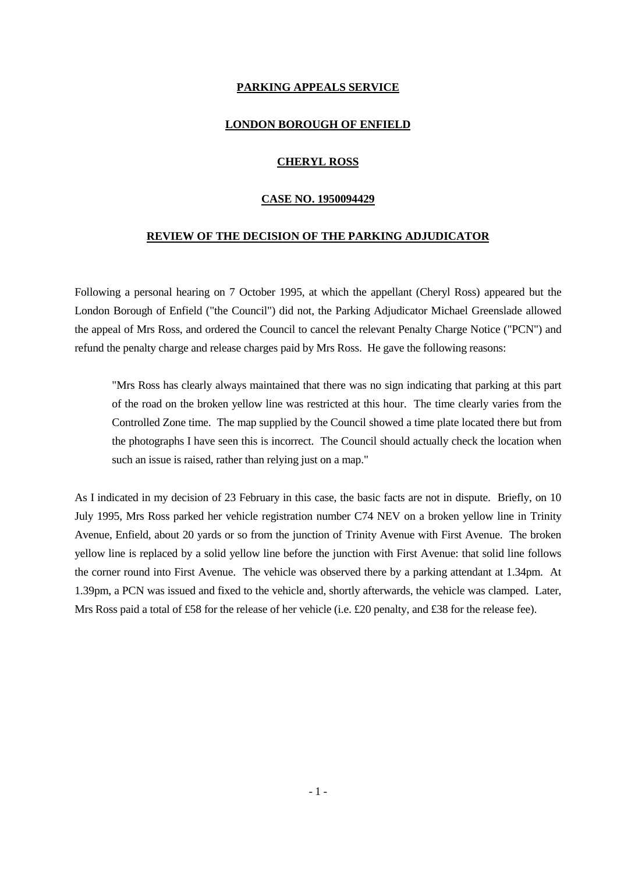## **PARKING APPEALS SERVICE**

#### **LONDON BOROUGH OF ENFIELD**

# **CHERYL ROSS**

#### **CASE NO. 1950094429**

## **REVIEW OF THE DECISION OF THE PARKING ADJUDICATOR**

Following a personal hearing on 7 October 1995, at which the appellant (Cheryl Ross) appeared but the London Borough of Enfield ("the Council") did not, the Parking Adjudicator Michael Greenslade allowed the appeal of Mrs Ross, and ordered the Council to cancel the relevant Penalty Charge Notice ("PCN") and refund the penalty charge and release charges paid by Mrs Ross. He gave the following reasons:

"Mrs Ross has clearly always maintained that there was no sign indicating that parking at this part of the road on the broken yellow line was restricted at this hour. The time clearly varies from the Controlled Zone time. The map supplied by the Council showed a time plate located there but from the photographs I have seen this is incorrect. The Council should actually check the location when such an issue is raised, rather than relying just on a map."

As I indicated in my decision of 23 February in this case, the basic facts are not in dispute. Briefly, on 10 July 1995, Mrs Ross parked her vehicle registration number C74 NEV on a broken yellow line in Trinity Avenue, Enfield, about 20 yards or so from the junction of Trinity Avenue with First Avenue. The broken yellow line is replaced by a solid yellow line before the junction with First Avenue: that solid line follows the corner round into First Avenue. The vehicle was observed there by a parking attendant at 1.34pm. At 1.39pm, a PCN was issued and fixed to the vehicle and, shortly afterwards, the vehicle was clamped. Later, Mrs Ross paid a total of £58 for the release of her vehicle (i.e. £20 penalty, and £38 for the release fee).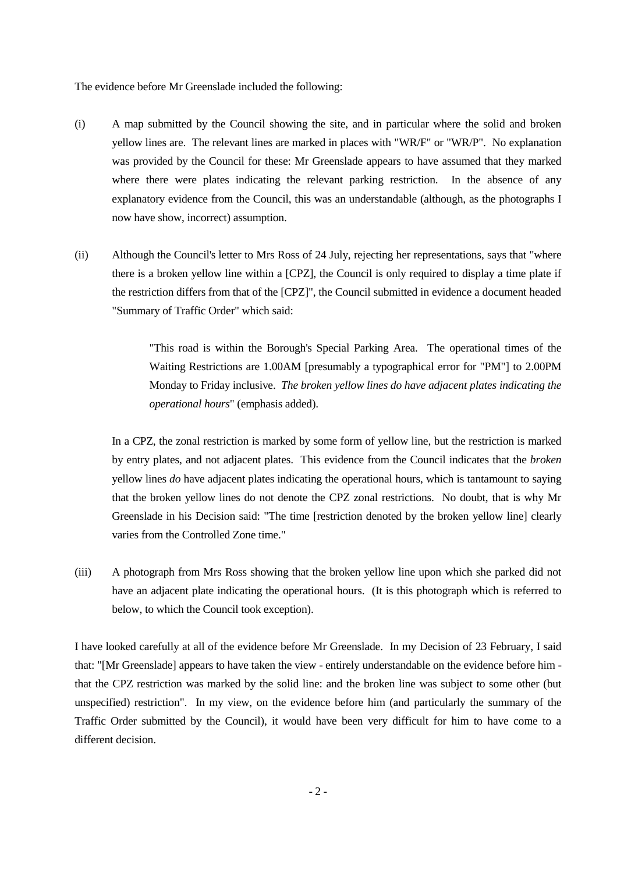The evidence before Mr Greenslade included the following:

- (i) A map submitted by the Council showing the site, and in particular where the solid and broken yellow lines are. The relevant lines are marked in places with "WR/F" or "WR/P". No explanation was provided by the Council for these: Mr Greenslade appears to have assumed that they marked where there were plates indicating the relevant parking restriction. In the absence of any explanatory evidence from the Council, this was an understandable (although, as the photographs I now have show, incorrect) assumption.
- (ii) Although the Council's letter to Mrs Ross of 24 July, rejecting her representations, says that "where there is a broken yellow line within a [CPZ], the Council is only required to display a time plate if the restriction differs from that of the [CPZ]", the Council submitted in evidence a document headed "Summary of Traffic Order" which said:

"This road is within the Borough's Special Parking Area. The operational times of the Waiting Restrictions are 1.00AM [presumably a typographical error for "PM"] to 2.00PM Monday to Friday inclusive. *The broken yellow lines do have adjacent plates indicating the operational hours*" (emphasis added).

In a CPZ, the zonal restriction is marked by some form of yellow line, but the restriction is marked by entry plates, and not adjacent plates. This evidence from the Council indicates that the *broken* yellow lines *do* have adjacent plates indicating the operational hours, which is tantamount to saying that the broken yellow lines do not denote the CPZ zonal restrictions. No doubt, that is why Mr Greenslade in his Decision said: "The time [restriction denoted by the broken yellow line] clearly varies from the Controlled Zone time."

(iii) A photograph from Mrs Ross showing that the broken yellow line upon which she parked did not have an adjacent plate indicating the operational hours. (It is this photograph which is referred to below, to which the Council took exception).

I have looked carefully at all of the evidence before Mr Greenslade. In my Decision of 23 February, I said that: "[Mr Greenslade] appears to have taken the view - entirely understandable on the evidence before him that the CPZ restriction was marked by the solid line: and the broken line was subject to some other (but unspecified) restriction". In my view, on the evidence before him (and particularly the summary of the Traffic Order submitted by the Council), it would have been very difficult for him to have come to a different decision.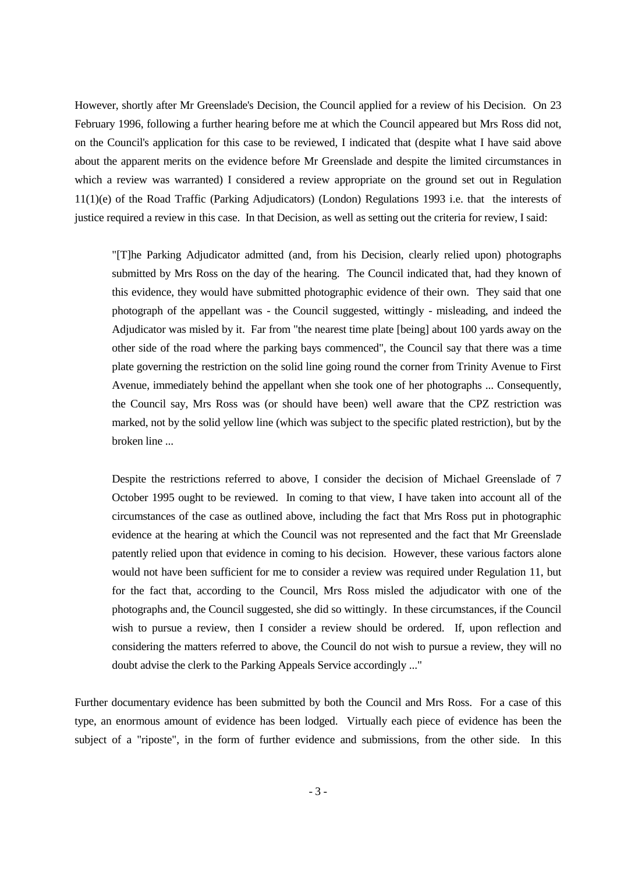However, shortly after Mr Greenslade's Decision, the Council applied for a review of his Decision. On 23 February 1996, following a further hearing before me at which the Council appeared but Mrs Ross did not, on the Council's application for this case to be reviewed, I indicated that (despite what I have said above about the apparent merits on the evidence before Mr Greenslade and despite the limited circumstances in which a review was warranted) I considered a review appropriate on the ground set out in Regulation 11(1)(e) of the Road Traffic (Parking Adjudicators) (London) Regulations 1993 i.e. that the interests of justice required a review in this case. In that Decision, as well as setting out the criteria for review, I said:

"[T]he Parking Adjudicator admitted (and, from his Decision, clearly relied upon) photographs submitted by Mrs Ross on the day of the hearing. The Council indicated that, had they known of this evidence, they would have submitted photographic evidence of their own. They said that one photograph of the appellant was - the Council suggested, wittingly - misleading, and indeed the Adjudicator was misled by it. Far from "the nearest time plate [being] about 100 yards away on the other side of the road where the parking bays commenced", the Council say that there was a time plate governing the restriction on the solid line going round the corner from Trinity Avenue to First Avenue, immediately behind the appellant when she took one of her photographs ... Consequently, the Council say, Mrs Ross was (or should have been) well aware that the CPZ restriction was marked, not by the solid yellow line (which was subject to the specific plated restriction), but by the broken line ...

Despite the restrictions referred to above, I consider the decision of Michael Greenslade of 7 October 1995 ought to be reviewed. In coming to that view, I have taken into account all of the circumstances of the case as outlined above, including the fact that Mrs Ross put in photographic evidence at the hearing at which the Council was not represented and the fact that Mr Greenslade patently relied upon that evidence in coming to his decision. However, these various factors alone would not have been sufficient for me to consider a review was required under Regulation 11, but for the fact that, according to the Council, Mrs Ross misled the adjudicator with one of the photographs and, the Council suggested, she did so wittingly. In these circumstances, if the Council wish to pursue a review, then I consider a review should be ordered. If, upon reflection and considering the matters referred to above, the Council do not wish to pursue a review, they will no doubt advise the clerk to the Parking Appeals Service accordingly ..."

Further documentary evidence has been submitted by both the Council and Mrs Ross. For a case of this type, an enormous amount of evidence has been lodged. Virtually each piece of evidence has been the subject of a "riposte", in the form of further evidence and submissions, from the other side. In this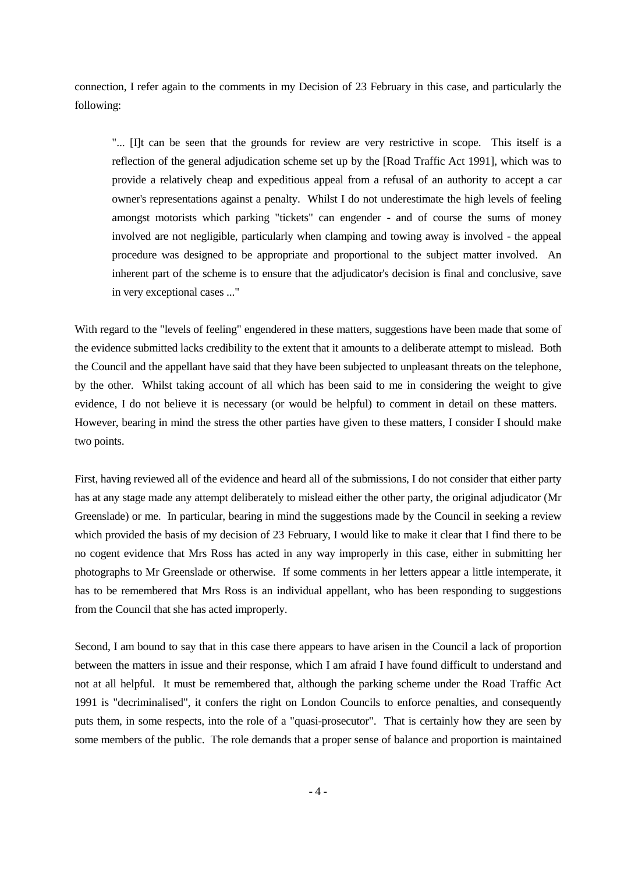connection, I refer again to the comments in my Decision of 23 February in this case, and particularly the following:

"... [I]t can be seen that the grounds for review are very restrictive in scope. This itself is a reflection of the general adjudication scheme set up by the [Road Traffic Act 1991], which was to provide a relatively cheap and expeditious appeal from a refusal of an authority to accept a car owner's representations against a penalty. Whilst I do not underestimate the high levels of feeling amongst motorists which parking "tickets" can engender - and of course the sums of money involved are not negligible, particularly when clamping and towing away is involved - the appeal procedure was designed to be appropriate and proportional to the subject matter involved. An inherent part of the scheme is to ensure that the adjudicator's decision is final and conclusive, save in very exceptional cases ..."

With regard to the "levels of feeling" engendered in these matters, suggestions have been made that some of the evidence submitted lacks credibility to the extent that it amounts to a deliberate attempt to mislead. Both the Council and the appellant have said that they have been subjected to unpleasant threats on the telephone, by the other. Whilst taking account of all which has been said to me in considering the weight to give evidence, I do not believe it is necessary (or would be helpful) to comment in detail on these matters. However, bearing in mind the stress the other parties have given to these matters, I consider I should make two points.

First, having reviewed all of the evidence and heard all of the submissions, I do not consider that either party has at any stage made any attempt deliberately to mislead either the other party, the original adjudicator (Mr Greenslade) or me. In particular, bearing in mind the suggestions made by the Council in seeking a review which provided the basis of my decision of 23 February, I would like to make it clear that I find there to be no cogent evidence that Mrs Ross has acted in any way improperly in this case, either in submitting her photographs to Mr Greenslade or otherwise. If some comments in her letters appear a little intemperate, it has to be remembered that Mrs Ross is an individual appellant, who has been responding to suggestions from the Council that she has acted improperly.

Second, I am bound to say that in this case there appears to have arisen in the Council a lack of proportion between the matters in issue and their response, which I am afraid I have found difficult to understand and not at all helpful. It must be remembered that, although the parking scheme under the Road Traffic Act 1991 is "decriminalised", it confers the right on London Councils to enforce penalties, and consequently puts them, in some respects, into the role of a "quasi-prosecutor". That is certainly how they are seen by some members of the public. The role demands that a proper sense of balance and proportion is maintained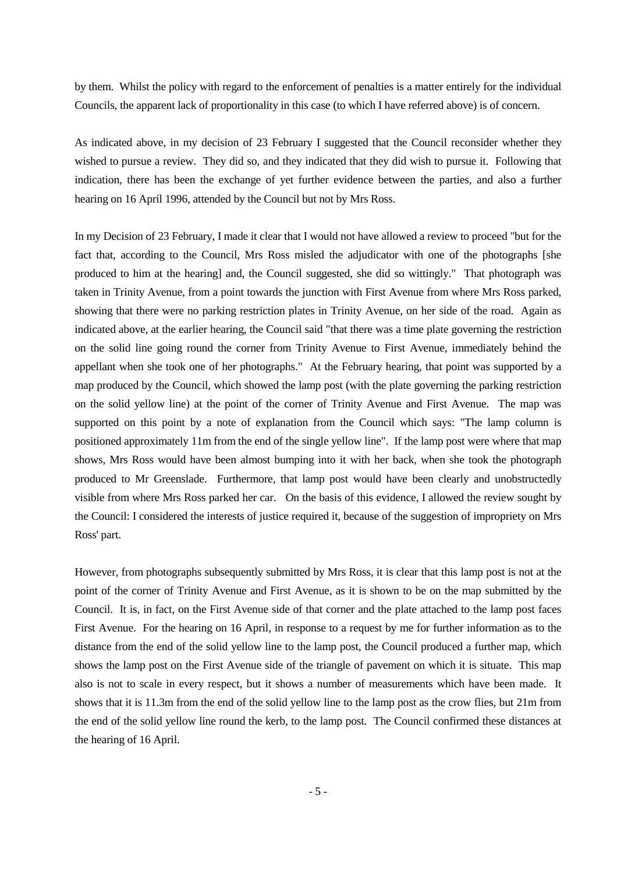by them. Whilst the policy with regard to the enforcement of penalties is a matter entirely for the individual Councils, the apparent lack of proportionality in this case (to which I have referred above) is of concern.

As indicated above, in my decision of 23 February I suggested that the Council reconsider whether they wished to pursue a review. They did so, and they indicated that they did wish to pursue it. Following that indication, there has been the exchange of yet further evidence between the parties, and also a further hearing on 16 April 1996, attended by the Council but not by Mrs Ross.

In my Decision of 23 February, I made it clear that I would not have allowed a review to proceed "but for the fact that, according to the Council, Mrs Ross misled the adjudicator with one of the photographs [she produced to him at the hearing] and, the Council suggested, she did so wittingly." That photograph was taken in Trinity Avenue, from a point towards the junction with First Avenue from where Mrs Ross parked, showing that there were no parking restriction plates in Trinity Avenue, on her side of the road. Again as indicated above, at the earlier hearing, the Council said "that there was a time plate governing the restriction on the solid line going round the corner from Trinity Avenue to First Avenue, immediately behind the appellant when she took one of her photographs." At the February hearing, that point was supported by a map produced by the Council, which showed the lamp post (with the plate governing the parking restriction on the solid yellow line) at the point of the corner of Trinity Avenue and First Avenue. The map was supported on this point by a note of explanation from the Council which says: "The lamp column is positioned approximately 11m from the end of the single yellow line". If the lamp post were where that map shows, Mrs Ross would have been almost bumping into it with her back, when she took the photograph produced to Mr Greenslade. Furthermore, that lamp post would have been clearly and unobstructedly visible from where Mrs Ross parked her car. On the basis of this evidence, I allowed the review sought by the Council: I considered the interests of justice required it, because of the suggestion of impropriety on Mrs Ross' part.

However, from photographs subsequently submitted by Mrs Ross, it is clear that this lamp post is not at the point of the corner of Trinity Avenue and First Avenue, as it is shown to be on the map submitted by the Council. It is, in fact, on the First Avenue side of that corner and the plate attached to the lamp post faces First Avenue. For the hearing on 16 April, in response to a request by me for further information as to the distance from the end of the solid yellow line to the lamp post, the Council produced a further map, which shows the lamp post on the First Avenue side of the triangle of pavement on which it is situate. This map also is not to scale in every respect, but it shows a number of measurements which have been made. It shows that it is 11.3m from the end of the solid yellow line to the lamp post as the crow flies, but 21m from the end of the solid yellow line round the kerb, to the lamp post. The Council confirmed these distances at the hearing of 16 April.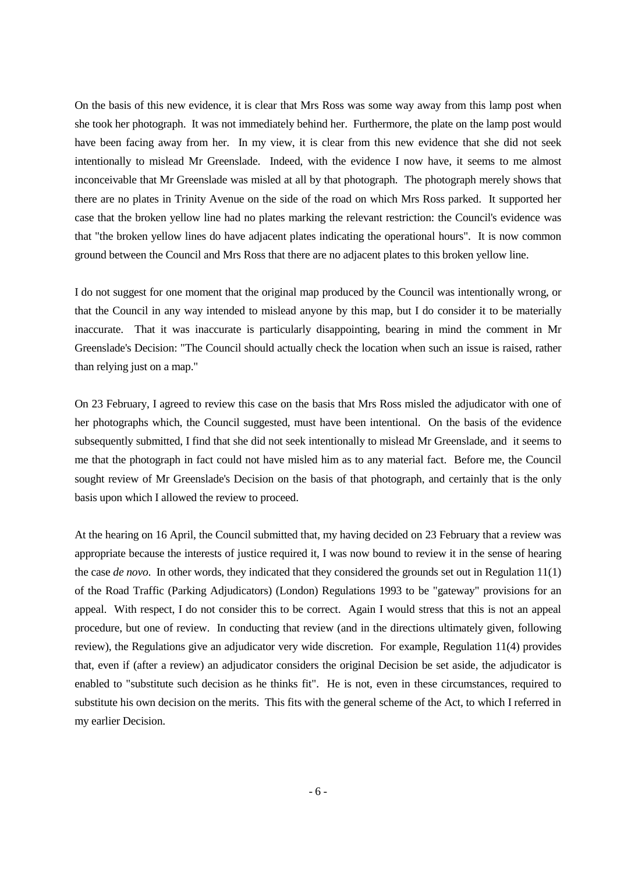On the basis of this new evidence, it is clear that Mrs Ross was some way away from this lamp post when she took her photograph. It was not immediately behind her. Furthermore, the plate on the lamp post would have been facing away from her. In my view, it is clear from this new evidence that she did not seek intentionally to mislead Mr Greenslade. Indeed, with the evidence I now have, it seems to me almost inconceivable that Mr Greenslade was misled at all by that photograph. The photograph merely shows that there are no plates in Trinity Avenue on the side of the road on which Mrs Ross parked. It supported her case that the broken yellow line had no plates marking the relevant restriction: the Council's evidence was that "the broken yellow lines do have adjacent plates indicating the operational hours". It is now common ground between the Council and Mrs Ross that there are no adjacent plates to this broken yellow line.

I do not suggest for one moment that the original map produced by the Council was intentionally wrong, or that the Council in any way intended to mislead anyone by this map, but I do consider it to be materially inaccurate. That it was inaccurate is particularly disappointing, bearing in mind the comment in Mr Greenslade's Decision: "The Council should actually check the location when such an issue is raised, rather than relying just on a map."

On 23 February, I agreed to review this case on the basis that Mrs Ross misled the adjudicator with one of her photographs which, the Council suggested, must have been intentional. On the basis of the evidence subsequently submitted, I find that she did not seek intentionally to mislead Mr Greenslade, and it seems to me that the photograph in fact could not have misled him as to any material fact. Before me, the Council sought review of Mr Greenslade's Decision on the basis of that photograph, and certainly that is the only basis upon which I allowed the review to proceed.

At the hearing on 16 April, the Council submitted that, my having decided on 23 February that a review was appropriate because the interests of justice required it, I was now bound to review it in the sense of hearing the case *de novo*. In other words, they indicated that they considered the grounds set out in Regulation 11(1) of the Road Traffic (Parking Adjudicators) (London) Regulations 1993 to be "gateway" provisions for an appeal. With respect, I do not consider this to be correct. Again I would stress that this is not an appeal procedure, but one of review. In conducting that review (and in the directions ultimately given, following review), the Regulations give an adjudicator very wide discretion. For example, Regulation 11(4) provides that, even if (after a review) an adjudicator considers the original Decision be set aside, the adjudicator is enabled to "substitute such decision as he thinks fit". He is not, even in these circumstances, required to substitute his own decision on the merits. This fits with the general scheme of the Act, to which I referred in my earlier Decision.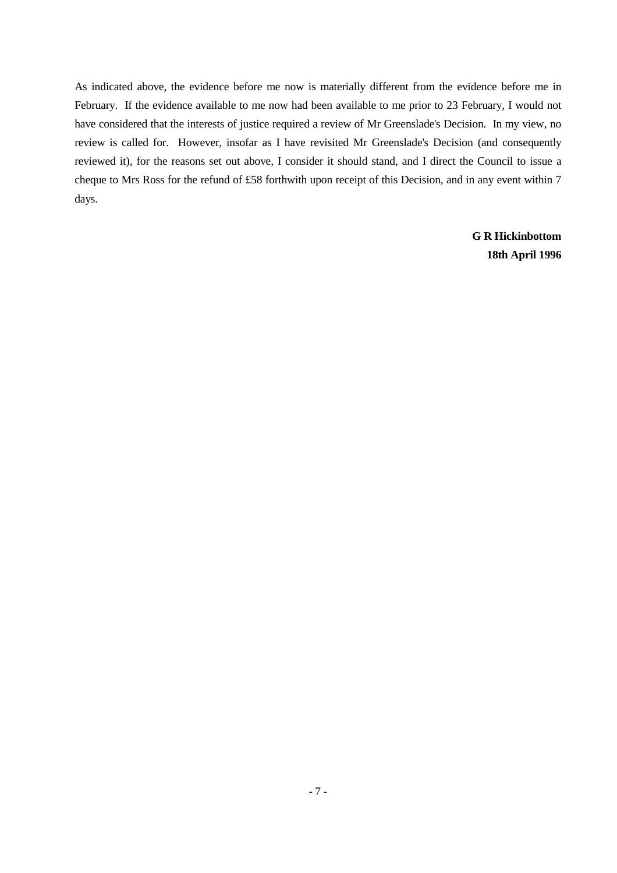As indicated above, the evidence before me now is materially different from the evidence before me in February. If the evidence available to me now had been available to me prior to 23 February, I would not have considered that the interests of justice required a review of Mr Greenslade's Decision. In my view, no review is called for. However, insofar as I have revisited Mr Greenslade's Decision (and consequently reviewed it), for the reasons set out above, I consider it should stand, and I direct the Council to issue a cheque to Mrs Ross for the refund of £58 forthwith upon receipt of this Decision, and in any event within 7 days.

> **G R Hickinbottom 18th April 1996**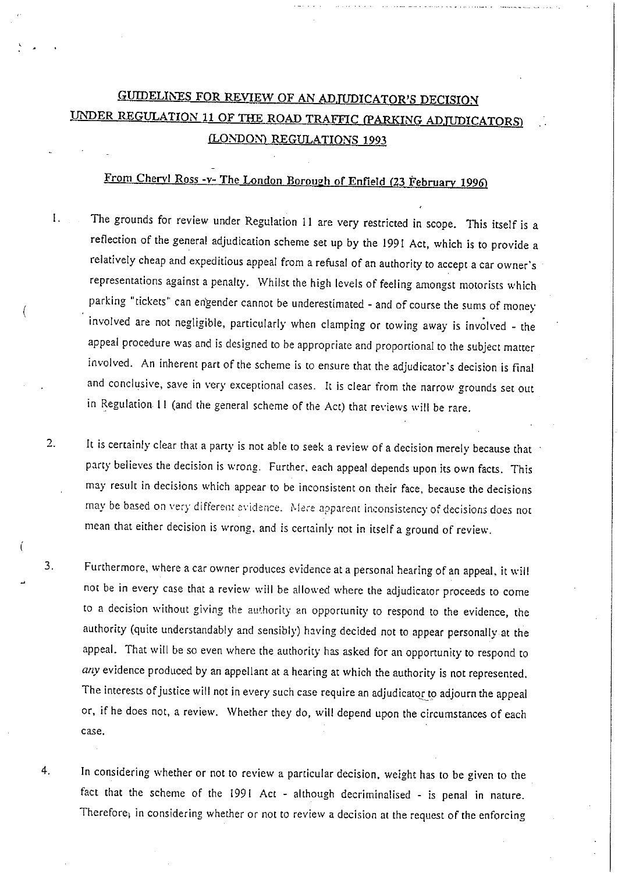# GUIDELINES FOR REVIEW OF AN ADJUDICATOR'S DECISION UNDER REGULATION 11 OF THE ROAD TRAFFIC (PARKING ADJUDICATORS) (LONDON) REGULATIONS 1993

# From Cheryl Ross -v- The London Borough of Enfield (23 February 1996)

- The grounds for review under Regulation 11 are very restricted in scope. This itself is a 1. reflection of the general adjudication scheme set up by the 1991 Act, which is to provide a relatively cheap and expeditious appeal from a refusal of an authority to accept a car owner's representations against a penalty. Whilst the high levels of feeling amongst motorists which parking "tickets" can engender cannot be underestimated - and of course the sums of money involved are not negligible, particularly when clamping or towing away is involved - the appeal procedure was and is designed to be appropriate and proportional to the subject matter involved. An inherent part of the scheme is to ensure that the adjudicator's decision is final and conclusive, save in very exceptional cases. It is clear from the narrow grounds set out in Regulation 11 (and the general scheme of the Act) that reviews will be rare.
- It is certainly clear that a party is not able to seek a review of a decision merely because that  $2.$ party believes the decision is wrong. Further, each appeal depends upon its own facts. This may result in decisions which appear to be inconsistent on their face, because the decisions may be based on very different evidence. Mere apparent inconsistency of decisions does not mean that either decision is wrong, and is certainly not in itself a ground of review.
- 3. Furthermore, where a car owner produces evidence at a personal hearing of an appeal, it will not be in every case that a review will be allowed where the adjudicator proceeds to come to a decision without giving the authority an opportunity to respond to the evidence, the authority (quite understandably and sensibly) having decided not to appear personally at the appeal. That will be so even where the authority has asked for an opportunity to respond to any evidence produced by an appellant at a hearing at which the authority is not represented. The interests of justice will not in every such case require an adjudicator to adjourn the appeal or, if he does not, a review. Whether they do, will depend upon the circumstances of each case.
- $\overline{4}$ . In considering whether or not to review a particular decision, weight has to be given to the fact that the scheme of the 1991 Act - although decriminalised - is penal in nature. Therefore, in considering whether or not to review a decision at the request of the enforcing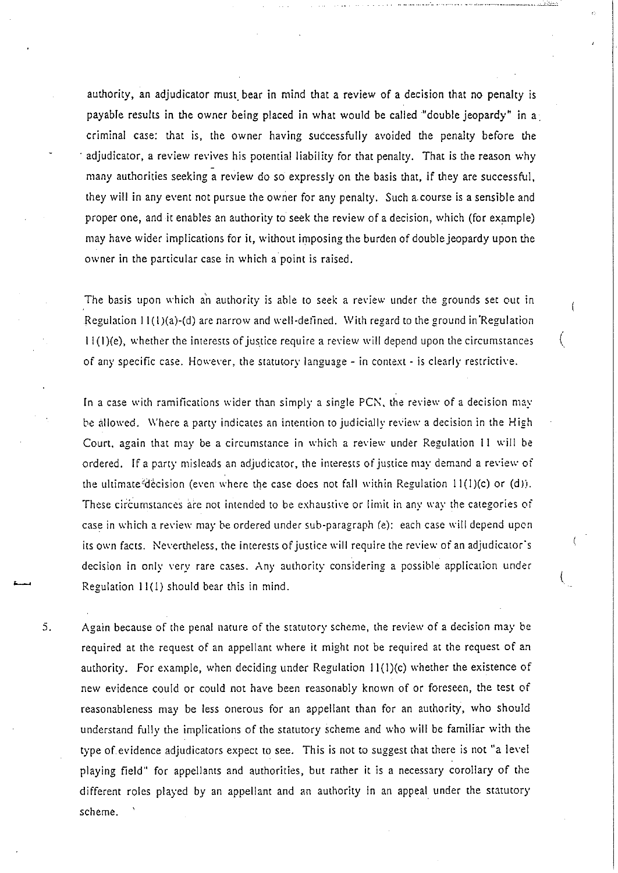authority, an adjudicator must bear in mind that a review of a decision that no penalty is payable results in the owner being placed in what would be called "double jeopardy" in a criminal case: that is, the owner having successfully avoided the penalty before the adjudicator, a review revives his potential liability for that penalty. That is the reason why many authorities seeking a review do so expressly on the basis that, if they are successful, they will in any event not pursue the owner for any penalty. Such a course is a sensible and proper one, and it enables an authority to seek the review of a decision, which (for example) may have wider implications for it, without imposing the burden of double jeopardy upon the owner in the particular case in which a point is raised.

The basis upon which an authority is able to seek a review under the grounds set out in Regulation 11(1)(a)-(d) are narrow and well-defined. With regard to the ground in Regulation 11(1)(e), whether the interests of justice require a review will depend upon the circumstances of any specific case. However, the statutory language - in context - is clearly restrictive.

In a case with ramifications wider than simply a single PCN, the review of a decision may be allowed. Where a party indicates an intention to judicially review a decision in the High Court, again that may be a circumstance in which a review under Regulation 11 will be ordered. If a party misleads an adjudicator, the interests of justice may demand a review of the ultimate decision (even where the case does not fall within Regulation  $11(1)(c)$  or (d)). These circumstances are not intended to be exhaustive or limit in any way the categories of case in which a review may be ordered under sub-paragraph (e): each case will depend upon its own facts. Nevertheless, the interests of justice will require the review of an adjudicator's decision in only very rare cases. Any authority considering a possible application under Regulation 11(1) should bear this in mind.

Again because of the penal nature of the statutory scheme, the review of a decision may be required at the request of an appellant where it might not be required at the request of an authority. For example, when deciding under Regulation 11(1)(c) whether the existence of new evidence could or could not have been reasonably known of or foreseen, the test of reasonableness may be less onerous for an appellant than for an authority, who should understand fully the implications of the statutory scheme and who will be familiar with the type of evidence adjudicators expect to see. This is not to suggest that there is not "a level playing field" for appellants and authorities, but rather it is a necessary corollary of the different roles played by an appellant and an authority in an appeal under the statutory scheme.

5.